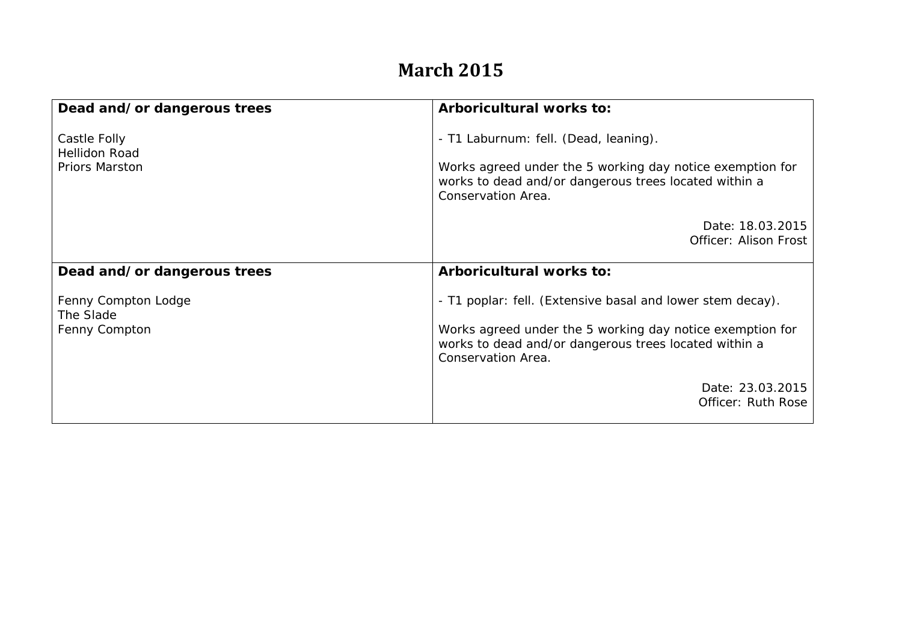## **March 2015**

| Dead and/or dangerous trees                                   | Arboricultural works to:                                                                                                                                                          |
|---------------------------------------------------------------|-----------------------------------------------------------------------------------------------------------------------------------------------------------------------------------|
|                                                               |                                                                                                                                                                                   |
| Castle Folly<br><b>Hellidon Road</b><br><b>Priors Marston</b> | - T1 Laburnum: fell. (Dead, leaning).<br>Works agreed under the 5 working day notice exemption for<br>works to dead and/or dangerous trees located within a<br>Conservation Area. |
|                                                               | Date: 18.03.2015<br>Officer: Alison Frost                                                                                                                                         |
| Dead and/or dangerous trees                                   | Arboricultural works to:                                                                                                                                                          |
| Fenny Compton Lodge<br>The Slade                              | - T1 poplar: fell. (Extensive basal and lower stem decay).                                                                                                                        |
| Fenny Compton                                                 | Works agreed under the 5 working day notice exemption for<br>works to dead and/or dangerous trees located within a<br>Conservation Area.                                          |
|                                                               | Date: 23.03.2015<br>Officer: Ruth Rose                                                                                                                                            |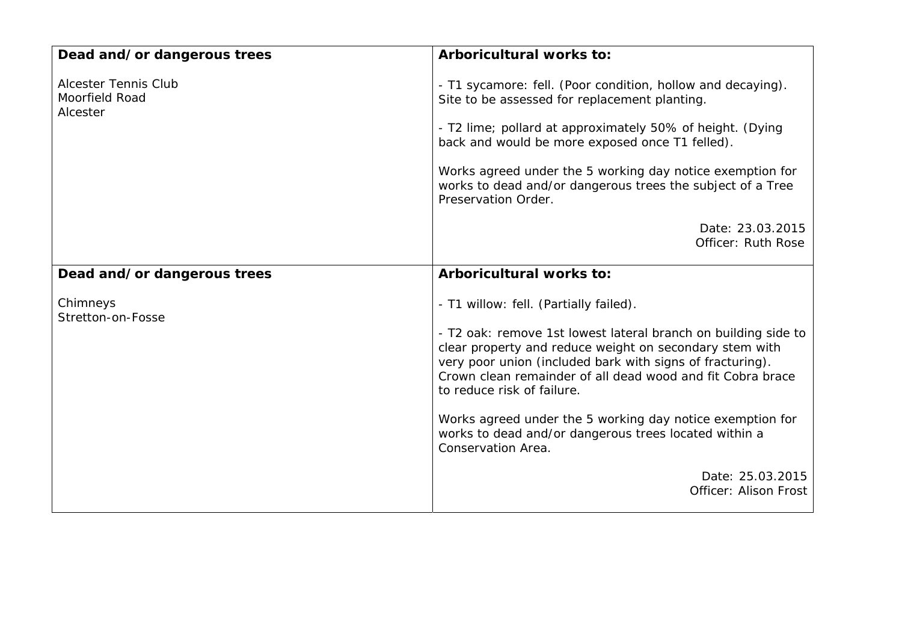| Dead and/or dangerous trees                               | Arboricultural works to:                                                                                                                                                                                                                                                                                                                                                                                                                                                 |
|-----------------------------------------------------------|--------------------------------------------------------------------------------------------------------------------------------------------------------------------------------------------------------------------------------------------------------------------------------------------------------------------------------------------------------------------------------------------------------------------------------------------------------------------------|
| <b>Alcester Tennis Club</b><br>Moorfield Road<br>Alcester | - T1 sycamore: fell. (Poor condition, hollow and decaying).<br>Site to be assessed for replacement planting.<br>- T2 lime; pollard at approximately 50% of height. (Dying<br>back and would be more exposed once T1 felled).<br>Works agreed under the 5 working day notice exemption for<br>works to dead and/or dangerous trees the subject of a Tree<br>Preservation Order.                                                                                           |
|                                                           | Date: 23.03.2015<br>Officer: Ruth Rose                                                                                                                                                                                                                                                                                                                                                                                                                                   |
| Dead and/or dangerous trees                               | Arboricultural works to:                                                                                                                                                                                                                                                                                                                                                                                                                                                 |
| Chimneys<br>Stretton-on-Fosse                             | - T1 willow: fell. (Partially failed).<br>- T2 oak: remove 1st lowest lateral branch on building side to<br>clear property and reduce weight on secondary stem with<br>very poor union (included bark with signs of fracturing).<br>Crown clean remainder of all dead wood and fit Cobra brace<br>to reduce risk of failure.<br>Works agreed under the 5 working day notice exemption for<br>works to dead and/or dangerous trees located within a<br>Conservation Area. |
|                                                           | Date: 25.03.2015<br>Officer: Alison Frost                                                                                                                                                                                                                                                                                                                                                                                                                                |